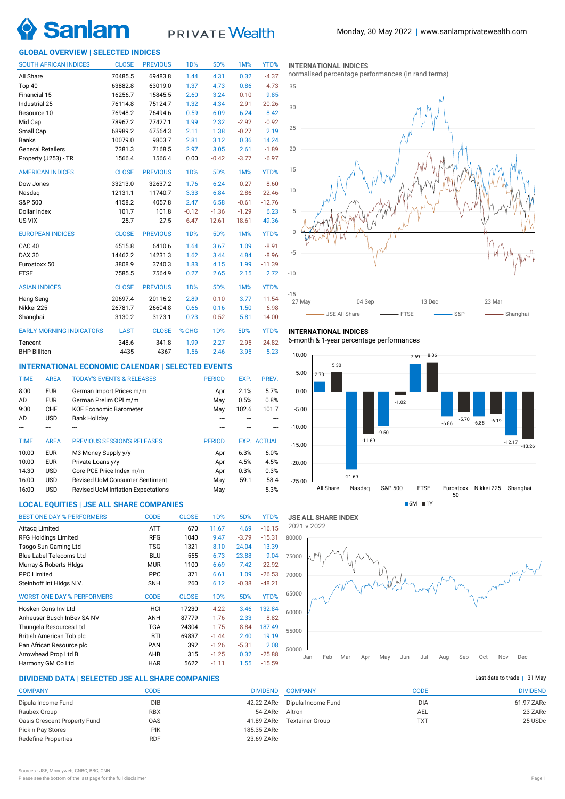# **Sanla**

## **PRIVATE** Wealth

### **GLOBAL OVERVIEW | SELECTED INDICES**

| <b>SOUTH AFRICAN INDICES</b>    | <b>CLOSE</b> | <b>PREVIOUS</b> | 1D%              | 5D%        | 1M%      | YTD%     |
|---------------------------------|--------------|-----------------|------------------|------------|----------|----------|
| All Share                       | 70485.5      | 69483.8         | 1.44             | 4.31       | 0.32     | $-4.37$  |
| Top 40                          | 63882.8      | 63019.0         | 1.37             | 4.73       | 0.86     | $-4.73$  |
| Financial 15                    | 16256.7      | 15845.5         | 2.60             | 3.24       | $-0.10$  | 9.85     |
| Industrial 25                   | 76114.8      | 75124.7         | 1.32             | 4.34       | $-2.91$  | $-20.26$ |
| Resource 10                     | 76948.2      | 76494.6         | 0.59             | 6.09       | 6.24     | 8.42     |
| Mid Cap                         | 78967.2      | 77427.1         | 1.99             | 2.32       | $-2.92$  | $-0.92$  |
| Small Cap                       | 68989.2      | 67564.3         | 2.11             | 1.38       | $-0.27$  | 2.19     |
| <b>Banks</b>                    | 10079.0      | 9803.7          | 2.81             | 3.12       | 0.36     | 14.24    |
| <b>General Retailers</b>        | 7381.3       | 7168.5          | 2.97             | 3.05       | 2.61     | $-1.89$  |
| Property (J253) - TR            | 1566.4       | 1566.4          | 0.00             | $-0.42$    | $-3.77$  | $-6.97$  |
| <b>AMERICAN INDICES</b>         | <b>CLOSE</b> | <b>PREVIOUS</b> | 1 <sub>D</sub> % | 5D%        | 1M%      | YTD%     |
| Dow Jones                       | 33213.0      | 32637.2         | 1.76             | 6.24       | $-0.27$  | $-8.60$  |
| Nasdaq                          | 12131.1      | 11740.7         | 3.33             | 6.84       | $-2.86$  | $-22.46$ |
| S&P 500                         | 4158.2       | 4057.8          | 2.47             | 6.58       | $-0.61$  | $-12.76$ |
| Dollar Index                    | 101.7        | 101.8           | $-0.12$          | $-1.36$    | $-1.29$  | 6.23     |
| US VIX                          | 25.7         | 27.5            | $-6.47$          | $-12.61$   | $-18.61$ | 49.36    |
| <b>EUROPEAN INDICES</b>         | <b>CLOSE</b> | <b>PREVIOUS</b> | 1 <sub>D</sub> % | 5D%        | 1M%      | YTD%     |
| <b>CAC 40</b>                   | 6515.8       | 6410.6          | 1.64             | 3.67       | 1.09     | $-8.91$  |
| <b>DAX 30</b>                   | 14462.2      | 14231.3         | 1.62             | 3.44       | 4.84     | $-8.96$  |
| Eurostoxx 50                    | 3808.9       | 3740.3          | 1.83             | 4.15       | 1.99     | $-11.39$ |
| <b>FTSE</b>                     | 7585.5       | 7564.9          | 0.27             | 2.65       | 2.15     | 2.72     |
| <b>ASIAN INDICES</b>            | <b>CLOSE</b> | <b>PREVIOUS</b> | <b>1D%</b>       | 5D%        | 1M%      | YTD%     |
| Hang Seng                       | 20697.4      | 20116.2         | 2.89             | $-0.10$    | 3.77     | $-11.54$ |
| Nikkei 225                      | 26781.7      | 26604.8         | 0.66             | 0.16       | 1.50     | $-6.98$  |
| Shanghai                        | 3130.2       | 3123.1          | 0.23             | $-0.52$    | 5.81     | $-14.00$ |
| <b>EARLY MORNING INDICATORS</b> | <b>LAST</b>  | <b>CLOSE</b>    | % CHG            | <b>1D%</b> | 5D%      | YTD%     |
| Tencent                         | 348.6        | 341.8           | 1.99             | 2.27       | $-2.95$  | $-24.82$ |
| <b>BHP Billiton</b>             | 4435         | 4367            | 1.56             | 2.46       | 3.95     | 5.23     |

### **INTERNATIONAL ECONOMIC CALENDAR | SELECTED EVENTS**

| <b>TIME</b> | <b>AREA</b> | <b>TODAY'S EVENTS &amp; RELEASES</b>      | <b>PERIOD</b> | EXP.  | PREV.              |
|-------------|-------------|-------------------------------------------|---------------|-------|--------------------|
| 8:00        | <b>EUR</b>  | German Import Prices m/m                  | Apr           | 2.1%  | 5.7%               |
| AD          | <b>EUR</b>  | German Prelim CPI m/m                     | May           | 0.5%  | 0.8%               |
| 9:00        | CHF         | <b>KOF Economic Barometer</b>             | May           | 102.6 | 101.7              |
| AD          | <b>USD</b>  | <b>Bank Holiday</b>                       |               |       |                    |
|             |             |                                           |               |       |                    |
|             |             |                                           |               |       |                    |
| <b>TIME</b> | <b>AREA</b> | <b>PREVIOUS SESSION'S RELEASES</b>        | <b>PERIOD</b> |       | <b>EXP. ACTUAL</b> |
| 10:00       | <b>EUR</b>  | M3 Money Supply y/y                       | Apr           | 6.3%  | 6.0%               |
| 10:00       | <b>EUR</b>  | Private Loans y/y                         | Apr           | 4.5%  | 4.5%               |
| 14:30       | <b>USD</b>  | Core PCE Price Index m/m                  | Apr           | 0.3%  | 0.3%               |
| 16:00       | <b>USD</b>  | <b>Revised UoM Consumer Sentiment</b>     | May           | 59.1  | 58.4               |
| 16:00       | <b>USD</b>  | <b>Revised UoM Inflation Expectations</b> | May           | ---   | 5.3%               |

### **LOCAL EQUITIES | JSE ALL SHARE COMPANIES**

| <b>BEST ONE-DAY % PERFORMERS</b>  | <b>CODE</b> | <b>CLOSE</b> | 1 <sub>D</sub> % | 5D%     | YTD%     |
|-----------------------------------|-------------|--------------|------------------|---------|----------|
| Attacq Limited                    | <b>ATT</b>  | 670          | 11.67            | 4.69    | $-16.15$ |
| <b>RFG Holdings Limited</b>       | <b>RFG</b>  | 1040         | 9.47             | $-3.79$ | $-15.31$ |
| Tsogo Sun Gaming Ltd              | <b>TSG</b>  | 1321         | 8.10             | 24.04   | 13.39    |
| <b>Blue Label Telecoms Ltd</b>    | <b>BLU</b>  | 555          | 6.73             | 23.88   | 9.04     |
| Murray & Roberts HIdgs            | <b>MUR</b>  | 1100         | 6.69             | 7.42    | $-22.92$ |
| <b>PPC Limited</b>                | <b>PPC</b>  | 371          | 6.61             | 1.09    | $-26.53$ |
| Steinhoff Int HIdgs N.V.          | <b>SNH</b>  | 260          | 6.12             | $-0.38$ | $-48.21$ |
| <b>WORST ONE-DAY % PERFORMERS</b> | <b>CODE</b> | <b>CLOSE</b> | 1 <sub>D</sub> % | 5D%     | YTD%     |
| Hosken Cons Inv Ltd               | HCI         | 17230        | $-4.22$          | 3.46    | 132.84   |
| Anheuser-Busch InBey SA NV        | ANH         | 87779        | $-1.76$          | 2.33    | $-8.82$  |
| Thungela Resources Ltd            | TGA         | 24304        | $-1.75$          | $-8.84$ | 187.49   |
| British American Tob plc          | <b>BTI</b>  | 69837        | $-1.44$          | 2.40    | 19.19    |
| Pan African Resource plc          | <b>PAN</b>  | 392          | $-1.26$          | $-5.31$ | 2.08     |
| Arrowhead Prop Ltd B              | AHB         | 315          | $-1.25$          | 0.32    | $-25.88$ |
| Harmony GM Co Ltd                 | HAR         | 5622         | $-1.11$          | 1.55    | $-15.59$ |

### **DIVIDEND DATA | SELECTED JSE ALL SHARE COMPANIES |**

| <b>COMPANY</b>               | CODE       | <b>DIVIDEND</b> |
|------------------------------|------------|-----------------|
| Dipula Income Fund           | DIB        | 42.22 ZARc      |
| Raubex Group                 | <b>RBX</b> | 54 ZARc         |
| Oasis Crescent Property Fund | 0AS        | 41.89 ZARc      |
| Pick n Pay Stores            | <b>PIK</b> | 185.35 ZARc     |
| <b>Redefine Properties</b>   | <b>RDF</b> | 23.69 ZARc      |
|                              |            |                 |

|  |  | <b>INTERNATIONAL INDICES</b> |  |
|--|--|------------------------------|--|
|  |  |                              |  |

normalised percentage performances (in rand terms)



### **INTERNATIONAL INDICES**

6-month & 1-year percentage performances



**JSE ALL SHARE INDEX** 2021 v 2022



### Last date to trade  $|$  31 May

| <b>COMPANY</b>         | CODE       | <b>DIVIDEND</b> |
|------------------------|------------|-----------------|
| Dipula Income Fund     | <b>DIA</b> | 61.97 ZARc      |
| Altron                 | AEL        | 23 ZARC         |
| <b>Textainer Group</b> | <b>TXT</b> | 25 USDc         |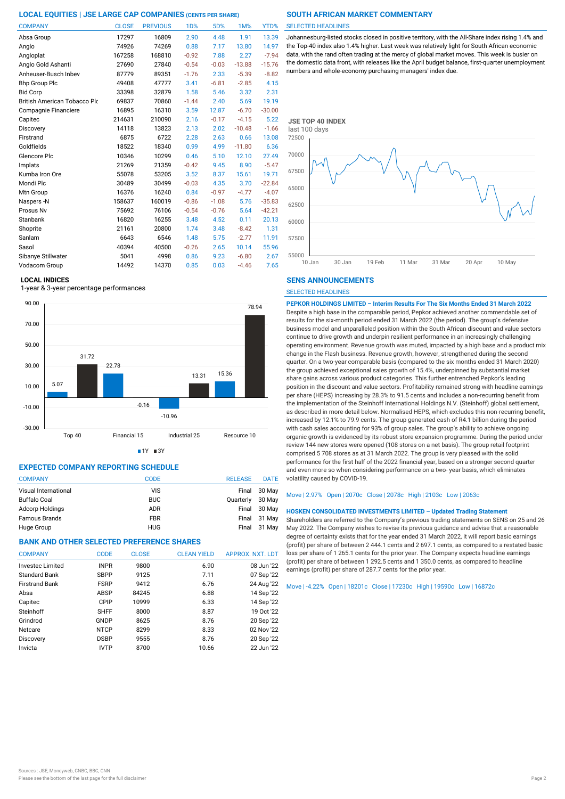| <b>COMPANY</b>                      | <b>CLOSE</b> | <b>PREVIOUS</b> | 1D%     | 5D%     | 1M%      | YTD%     |
|-------------------------------------|--------------|-----------------|---------|---------|----------|----------|
| Absa Group                          | 17297        | 16809           | 2.90    | 4.48    | 1.91     | 13.39    |
| Anglo                               | 74926        | 74269           | 0.88    | 7.17    | 13.80    | 14.97    |
| Angloplat                           | 167258       | 168810          | $-0.92$ | 7.88    | 2.27     | $-7.94$  |
| Anglo Gold Ashanti                  | 27690        | 27840           | $-0.54$ | $-0.03$ | $-13.88$ | $-15.76$ |
| Anheuser-Busch Inbev                | 87779        | 89351           | $-1.76$ | 2.33    | $-5.39$  | $-8.82$  |
| <b>Bhp Group Plc</b>                | 49408        | 47777           | 3.41    | $-6.81$ | $-2.85$  | 4.15     |
| <b>Bid Corp</b>                     | 33398        | 32879           | 1.58    | 5.46    | 3.32     | 2.31     |
| <b>British American Tobacco Plo</b> | 69837        | 70860           | $-1.44$ | 2.40    | 5.69     | 19.19    |
| Compagnie Financiere                | 16895        | 16310           | 3.59    | 12.87   | $-6.70$  | $-30.00$ |
| Capitec                             | 214631       | 210090          | 2.16    | $-0.17$ | $-4.15$  | 5.22     |
| Discovery                           | 14118        | 13823           | 2.13    | 2.02    | $-10.48$ | $-1.66$  |
| Firstrand                           | 6875         | 6722            | 2.28    | 2.63    | 0.66     | 13.08    |
| Goldfields                          | 18522        | 18340           | 0.99    | 4.99    | $-11.80$ | 6.36     |
| Glencore Plc                        | 10346        | 10299           | 0.46    | 5.10    | 12.10    | 27.49    |
| Implats                             | 21269        | 21359           | $-0.42$ | 9.45    | 8.90     | $-5.47$  |
| Kumba Iron Ore                      | 55078        | 53205           | 3.52    | 8.37    | 15.61    | 19.71    |
| Mondi Plc                           | 30489        | 30499           | $-0.03$ | 4.35    | 3.70     | $-22.84$ |
| Mtn Group                           | 16376        | 16240           | 0.84    | $-0.97$ | $-4.77$  | $-4.07$  |
| Naspers-N                           | 158637       | 160019          | $-0.86$ | $-1.08$ | 5.76     | $-35.83$ |
| Prosus Nv                           | 75692        | 76106           | $-0.54$ | $-0.76$ | 5.64     | $-42.21$ |
| Stanbank                            | 16820        | 16255           | 3.48    | 4.52    | 0.11     | 20.13    |
| Shoprite                            | 21161        | 20800           | 1.74    | 3.48    | $-8.42$  | 1.31     |
| Sanlam                              | 6643         | 6546            | 1.48    | 5.75    | $-2.77$  | 11.91    |
| Sasol                               | 40394        | 40500           | $-0.26$ | 2.65    | 10.14    | 55.96    |
| Sibanye Stillwater                  | 5041         | 4998            | 0.86    | 9.23    | $-6.80$  | 2.67     |
| Vodacom Group                       | 14492        | 14370           | 0.85    | 0.03    | $-4.46$  | 7.65     |

### **LOCAL INDICES**

1-year & 3-year percentage performances





### **EXPECTED COMPANY REPORTING SCHEDULE**

| <b>COMPANY</b>         | <b>CODE</b> | <b>RELEASE</b> | <b>DATE</b>  |
|------------------------|-------------|----------------|--------------|
| Visual International   | VIS         | Final          | 30 May       |
| Buffalo Coal           | <b>BUC</b>  | Quarterly      | 30 May       |
| <b>Adcorp Holdings</b> | <b>ADR</b>  | Final          | 30 May       |
| <b>Famous Brands</b>   | <b>FBR</b>  |                | Final 31 May |
| Huge Group             | <b>HUG</b>  | Final          | 31 May       |

### **BANK AND OTHER SELECTED PREFERENCE SHARES**

| <b>COMPANY</b>          | <b>CODE</b> | <b>CLOSE</b> | <b>CLEAN YIELD</b> | APPROX. NXT. LDT |
|-------------------------|-------------|--------------|--------------------|------------------|
| <b>Invested Limited</b> | <b>INPR</b> | 9800         | 6.90               | 08 Jun '22       |
| Standard Bank           | <b>SBPP</b> | 9125         | 7.11               | 07 Sep '22       |
| <b>Firstrand Bank</b>   | <b>FSRP</b> | 9412         | 6.76               | 24 Aug '22       |
| Absa                    | ABSP        | 84245        | 6.88               | 14 Sep '22       |
| Capitec                 | CPIP        | 10999        | 6.33               | 14 Sep '22       |
| Steinhoff               | <b>SHFF</b> | 8000         | 8.87               | 19 Oct '22       |
| Grindrod                | GNDP        | 8625         | 8.76               | 20 Sep '22       |
| Netcare                 | <b>NTCP</b> | 8299         | 8.33               | 02 Nov '22       |
| Discovery               | <b>DSBP</b> | 9555         | 8.76               | 20 Sep '22       |
| Invicta                 | <b>IVTP</b> | 8700         | 10.66              | 22 Jun '22       |

### SELECTED HEADLINES

Johannesburg-listed stocks closed in positive territory, with the All-Share index rising 1.4% and the Top-40 index also 1.4% higher. Last week was relatively light for South African economic data, with the rand often trading at the mercy of global market moves. This week is busier on the domestic data front, with releases like the April budget balance, first-quarter unemployment numbers and whole-economy purchasing managers' index due.



### **SENS ANNOUNCEMENTS**

SELECTED HEADLINES

**PEPKOR HOLDINGS LIMITED – Interim Results For The Six Months Ended 31 March 2022** Despite a high base in the comparable period, Pepkor achieved another commendable set of results for the six-month period ended 31 March 2022 (the period). The group's defensive business model and unparalleled position within the South African discount and value sectors continue to drive growth and underpin resilient performance in an increasingly challenging operating environment. Revenue growth was muted, impacted by a high base and a product mix change in the Flash business. Revenue growth, however, strengthened during the second quarter. On a two-year comparable basis (compared to the six months ended 31 March 2020) the group achieved exceptional sales growth of 15.4%, underpinned by substantial market share gains across various product categories. This further entrenched Pepkor's leading position in the discount and value sectors. Profitability remained strong with headline earnings per share (HEPS) increasing by 28.3% to 91.5 cents and includes a non-recurring benefit from the implementation of the Steinhoff International Holdings N.V. (Steinhoff) global settlement, as described in more detail below. Normalised HEPS, which excludes this non-recurring benefit, increased by 12.1% to 79.9 cents. The group generated cash of R4.1 billion during the period with cash sales accounting for 93% of group sales. The group's ability to achieve ongoing organic growth is evidenced by its robust store expansion programme. During the period under review 144 new stores were opened (108 stores on a net basis). The group retail footprint comprised 5 708 stores as at 31 March 2022. The group is very pleased with the solid performance for the first half of the 2022 financial year, based on a stronger second quarter and even more so when considering performance on a two- year basis, which eliminates volatility caused by COVID-19.

### Move | 2.97% Open | 2070c Close | 2078c High | 2103c Low | 2063c

### **HOSKEN CONSOLIDATED INVESTMENTS LIMITED – Updated Trading Statement**

Shareholders are referred to the Company's previous trading statements on SENS on 25 and 26 May 2022. The Company wishes to revise its previous guidance and advise that a reasonable degree of certainty exists that for the year ended 31 March 2022, it will report basic earnings (profit) per share of between 2 444.1 cents and 2 697.1 cents, as compared to a restated basic loss per share of 1 265.1 cents for the prior year. The Company expects headline earnings (profit) per share of between 1 292.5 cents and 1 350.0 cents, as compared to headline earnings (profit) per share of 287.7 cents for the prior year.

Move | -4.22% Open | 18201c Close | 17230c High | 19590c Low | 16872c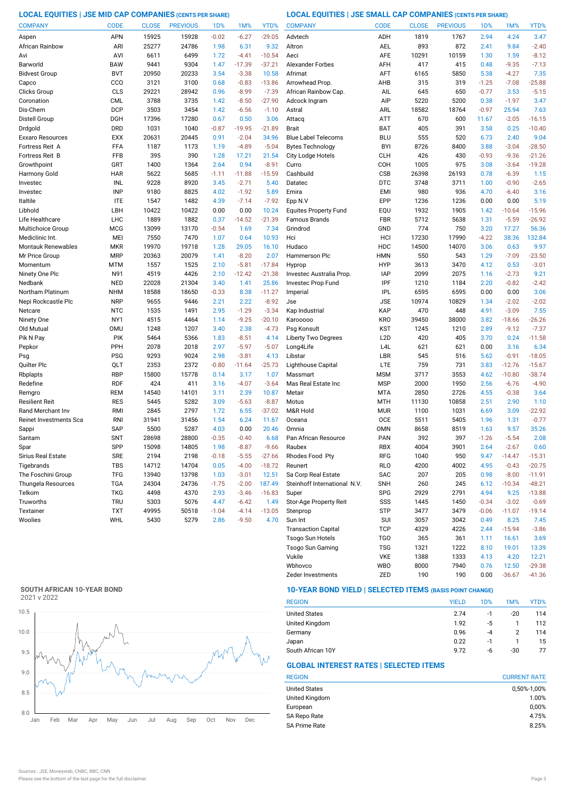**LOCAL EQUITIES | JSE MID CAP COMPANIES (CENTS PER SHARE) LOCAL EQUITIES | JSE SMALL CAP COMPANIES (CENTS PER SHARE)**

| <b>COMPANY</b>         | <b>CODE</b>              | <b>CLOSE</b> | <b>PREVIOUS</b> | 1 <sub>D</sub> % | 1M%             | YTD%            | <b>COMPANY</b>                  | <b>CODE</b>              | <b>CLOSE</b> | <b>PREVIOUS</b> | 1D%          | 1M%                 | YTD%                |
|------------------------|--------------------------|--------------|-----------------|------------------|-----------------|-----------------|---------------------------------|--------------------------|--------------|-----------------|--------------|---------------------|---------------------|
| Aspen                  | <b>APN</b>               | 15925        | 15928           | $-0.02$          | $-6.27$         | $-29.05$        | Advtech                         | ADH                      | 1819         | 1767            | 2.94         | 4.24                | 3.47                |
| African Rainbow        | ARI                      | 25277        | 24786           | 1.98             | 6.31            | 9.32            | Altron                          | <b>AEL</b>               | 893          | 872             | 2.41         | 9.84                | $-2.40$             |
| Avi                    | AVI                      | 6611         | 6499            | 1.72             | $-4.41$         | $-10.54$        | Aeci                            | AFE                      | 10291        | 10159           | 1.30         | 1.59                | $-8.12$             |
| Barworld               | <b>BAW</b>               | 9441         | 9304            | 1.47             | $-17.39$        | $-37.21$        | <b>Alexander Forbes</b>         | AFH                      | 417          | 415             | 0.48         | $-9.35$             | $-7.13$             |
| <b>Bidvest Group</b>   | <b>BVT</b>               | 20950        | 20233           | 3.54             | $-3.38$         | 10.58           | Afrimat                         | AFT                      | 6165         | 5850            | 5.38         | $-4.27$             | 7.35                |
| Capco                  | CCO                      | 3121         | 3100            | 0.68             | $-0.83$         | $-13.86$        | Arrowhead Prop                  | AHB                      | 315          | 319             | $-1.25$      | $-7.08$             | $-25.88$            |
| Clicks Group           | CLS                      | 29221        | 28942           | 0.96             | $-8.99$         | $-7.39$         | African Rainbow Cap.            | AIL                      | 645          | 650             | $-0.77$      | 3.53                | $-5.15$             |
| Coronation             | <b>CML</b>               | 3788         | 3735            | 1.42             | $-8.50$         | $-27.90$        | Adcock Ingram                   | AIP                      | 5220         | 5200            | 0.38         | $-1.97$             | 3.47                |
| Dis-Chem               | <b>DCP</b>               | 3503         | 3454            | 1.42             | $-6.56$         | $-1.10$         | Astral                          | ARL                      | 18582        | 18764           | $-0.97$      | 25.94               | 7.63                |
| Distell Group          | DGH                      | 17396        | 17280           | 0.67             | 0.50            | 3.06            | Attacq                          | <b>ATT</b>               | 670          | 600             | 11.67        | $-2.05$             | $-16.15$            |
| Drdgold                | <b>DRD</b>               | 1031         | 1040            | $-0.87$          | $-19.95$        | $-21.89$        | <b>Brait</b>                    | <b>BAT</b>               | 405          | 391             | 3.58         | 0.25                | $-10.40$            |
| Exxaro Resources       | <b>EXX</b>               | 20631        | 20445           | 0.91             | $-2.04$         | 34.96           | <b>Blue Label Telecoms</b>      | <b>BLU</b>               | 555          | 520             | 6.73         | 2.40                | 9.04                |
| Fortress Reit A        | FFA                      | 1187         | 1173            | 1.19             | $-4.89$         | $-5.04$         | <b>Bytes Technology</b>         | <b>BYI</b>               | 8726         | 8400            | 3.88         | $-3.04$             | $-28.50$            |
| <b>Fortress Reit B</b> | FFB                      | 395          | 390             | 1.28             | 17.21           | 21.54           | City Lodge Hotels               | <b>CLH</b>               | 426          | 430             | $-0.93$      | $-9.36$             | $-21.26$            |
| Growthpoint            | GRT                      | 1400         | 1364            | 2.64             | 0.94            | $-8.91$         | Curro                           | COH                      | 1005         | 975             | 3.08         | $-3.64$             | $-19.28$            |
| Harmony Gold           | <b>HAR</b>               | 5622         | 5685            | $-1.11$          | $-11.88$        | $-15.59$        | Cashbuild                       | CSB                      | 26398        | 26193           | 0.78         | $-6.39$             | 1.15                |
| Investec               | INL                      | 9228         | 8920            | 3.45             | $-2.71$         | 5.40            | Datatec                         | <b>DTC</b>               | 3748         | 3711            | 1.00         | $-0.90$             | $-2.65$             |
| Investec               | <b>INP</b>               | 9180         | 8825            | 4.02             | $-1.92$         | 5.89            | Emira                           | <b>EMI</b>               | 980          | 936             | 4.70         | $-6.40$             | 3.16                |
| Italtile               | <b>ITE</b>               | 1547         | 1482            | 4.39             | $-7.14$         | $-7.92$         | Epp N.V                         | EPP                      | 1236         | 1236            | 0.00         | 0.00                | 5.19                |
| Libhold                | LBH                      | 10422        | 10422           | 0.00             | 0.00            | 10.24           | <b>Equites Property Fund</b>    | EQU                      | 1932         | 1905            | 1.42         | $-10.64$            | $-15.96$            |
| Life Healthcare        | LHC                      | 1889         | 1882            | 0.37             | $-14.52$        | $-21.39$        | Famous Brands                   | FBR                      | 5712         | 5638            | 1.31         | $-5.59$             | $-26.92$            |
| Multichoice Group      | <b>MCG</b>               | 13099        | 13170           | $-0.54$          | 1.69            | 7.34            | Grindrod                        | GND                      | 774          | 750             | 3.20         | 17.27               | 56.36               |
| Mediclinic Int.        | MEI                      | 7550         | 7470            | 1.07             | 0.64            | 10.93           | Hci                             | HCI                      | 17230        | 17990           | $-4.22$      | 38.36               | 132.84              |
| Montauk Renewables     | <b>MKR</b>               | 19970        | 19718           | 1.28             | 29.05           | 16.10           | Hudaco                          | HDC                      | 14500        | 14070           | 3.06         | 0.63                | 9.97                |
| Mr Price Group         | <b>MRP</b>               | 20363        | 20079           | 1.41             | $-8.20$         | 2.07            | <b>Hammerson Plc</b>            | <b>HMN</b>               | 550          | 543             | 1.29         | $-7.09$             | $-23.50$            |
| Momentum               | <b>MTM</b>               | 1557         | 1525            | 2.10             | $-5.81$         | $-17.84$        | Hyprop                          | <b>HYP</b>               | 3613         | 3470            | 4.12         | 0.53                | $-3.01$             |
| Ninety One Plc         | N91                      | 4519         | 4426            | 2.10             | $-12.42$        | $-21.38$        | Investec Australia Prop.        | <b>IAP</b>               | 2099         | 2075            | 1.16         | $-2.73$             | 9.21                |
| Nedbank                | <b>NED</b>               | 22028        | 21304           | 3.40             | 1.41            | 25.86           | Investec Prop Fund              | IPF                      | 1210         | 1184            | 2.20         | $-0.82$             | $-2.42$             |
| Northam Platinum       | <b>NHM</b>               | 18588        | 18650           | $-0.33$          | 8.38            | $-11.27$        | Imperial                        | <b>IPL</b>               | 6595         | 6595            | 0.00         | 0.00                | 3.06                |
| Nepi Rockcastle Plc    | <b>NRP</b>               | 9655         | 9446            | 2.21             | 2.22            | $-8.92$         | Jse                             | <b>JSE</b>               | 10974        | 10829           | 1.34         | $-2.02$             | $-2.02$             |
| Netcare                | <b>NTC</b>               | 1535         | 1491            | 2.95             | $-1.29$         | $-3.34$         | Kap Industrial                  | KAP                      | 470          | 448             | 4.91         | $-3.09$             | 7.55                |
| Ninety One             | NY1                      | 4515         | 4464            | 1.14             | $-9.25$         | $-20.10$        | Karooooo                        | <b>KRO</b>               | 39450        | 38000           | 3.82         | $-18.66$            | $-26.26$            |
| Old Mutual             | <b>OMU</b>               | 1248         | 1207            | 3.40             | 2.38            | $-4.73$         | Psg Konsult                     | KST                      | 1245         | 1210            | 2.89         | $-9.12$             | $-7.37$             |
| Pik N Pay              | PIK                      | 5464         | 5366            | 1.83             | $-8.51$         | 4.14            | <b>Liberty Two Degrees</b>      | L <sub>2</sub> D         | 420          | 405             | 3.70         | 0.24                | $-11.58$            |
| Pepkor                 | PPH                      | 2078         | 2018            | 2.97             | $-5.97$         | $-5.07$         | Long4Life                       | L <sub>4</sub> L         | 621          | 621             | 0.00         | 3.16                | 6.34                |
| Psg                    | <b>PSG</b>               | 9293         | 9024            | 2.98             | $-3.81$         | 4.13            | Libstar                         | LBR                      | 545          | 516             | 5.62         | $-0.91$             | $-18.05$            |
| Quilter Plc            | QLT                      | 2353         | 2372            | $-0.80$          | $-11.64$        | $-25.73$        | Lighthouse Capital              | LTE                      | 759          | 731             | 3.83         | $-12.76$            | $-15.67$            |
| Rbplapts<br>Redefine   | <b>RBP</b><br><b>RDF</b> | 15800<br>424 | 15778<br>411    | 0.14<br>3.16     | 3.17<br>$-4.07$ | 1.07<br>$-3.64$ | Massmart<br>Mas Real Estate Inc | <b>MSM</b><br><b>MSP</b> | 3717<br>2000 | 3553<br>1950    | 4.62<br>2.56 | $-10.80$<br>$-6.76$ | $-38.74$<br>$-4.90$ |
| Remgro                 | <b>REM</b>               | 14540        | 14101           | 3.11             | 2.39            | 10.87           | Metair                          | <b>MTA</b>               | 2850         | 2726            | 4.55         | $-0.38$             | 3.64                |
| Resilient Reit         | <b>RES</b>               | 5445         | 5282            | 3.09             | $-5.63$         | $-8.87$         | Motus                           | <b>MTH</b>               | 11130        | 10858           | 2.51         | 2.90                | 1.10                |
| Rand Merchant Inv      | RMI                      | 2845         | 2797            | 1.72             | 6.55            | $-37.02$        | M&R Hold                        | <b>MUR</b>               | 1100         | 1031            | 6.69         | 3.09                | $-22.92$            |
| Reinet Investments Sca | RNI                      | 31941        | 31456           | 1.54             | 6.24            | 11.67           | Oceana                          | OCE                      | 5511         | 5405            | 1.96         | 1.31                | $-0.77$             |
| Sappi                  | <b>SAP</b>               | 5500         | 5287            | 4.03             | 0.00            | 20.46           | Omnia                           | <b>OMN</b>               | 8658         | 8519            | 1.63         | 9.57                | 35.26               |
| Santam                 | <b>SNT</b>               | 28698        | 28800           | $-0.35$          | $-0.40$         | 6.68            | Pan African Resource            | PAN                      | 392          | 397             | $-1.26$      | $-5.54$             | 2.08                |
| Spar                   | SPP                      | 15098        | 14805           | 1.98             | $-8.87$         | $-9.66$         | Raubex                          | <b>RBX</b>               | 4004         | 3901            | 2.64         | $-2.67$             | 0.60                |
| Sirius Real Estate     | <b>SRE</b>               | 2194         | 2198            | $-0.18$          | $-5.55$         | $-27.66$        | Rhodes Food Pty                 | RFG                      | 1040         | 950             | 9.47         | $-14.47$            | $-15.31$            |
| Tigebrands             | TBS                      | 14712        | 14704           | 0.05             | $-4.00$         | $-18.72$        | Reunert                         | <b>RLO</b>               | 4200         | 4002            | 4.95         | $-0.43$             | $-20.75$            |
| The Foschini Group     | <b>TFG</b>               | 13940        | 13798           | 1.03             | $-3.01$         | 12.51           | Sa Corp Real Estate             | SAC                      | 207          | 205             | 0.98         | $-8.00$             | $-11.91$            |
| Thungela Resources     | <b>TGA</b>               | 24304        | 24736           | $-1.75$          | $-2.00$         | 187.49          | Steinhoff International N.V.    | <b>SNH</b>               | 260          | 245             | 6.12         | $-10.34$            | $-48.21$            |
| Telkom                 | <b>TKG</b>               | 4498         | 4370            | 2.93             | $-3.46$         | $-16.83$        | Super                           | <b>SPG</b>               | 2929         | 2791            | 4.94         | 9.25                | $-13.88$            |
| Truworths              | <b>TRU</b>               | 5303         | 5076            | 4.47             | $-6.42$         | 1.49            | Stor-Age Property Reit          | SSS                      | 1445         | 1450            | $-0.34$      | $-3.02$             | $-0.69$             |
| Textainer              | <b>TXT</b>               | 49995        | 50518           | $-1.04$          | $-4.14$         | $-13.05$        | Stenprop                        | STP                      | 3477         | 3479            | $-0.06$      | $-11.07$            | $-19.14$            |
| Woolies                | WHL                      | 5430         | 5279            | 2.86             | $-9.50$         | 4.70            | Sun Int                         | SUI                      | 3057         | 3042            | 0.49         | 8.25                | 7.45                |
|                        |                          |              |                 |                  |                 |                 | <b>Transaction Capital</b>      | <b>TCP</b>               | 4329         | 4226            | 2.44         | $-15.94$            | $-3.86$             |
|                        |                          |              |                 |                  |                 |                 | Tsogo Sun Hotels                | <b>TGO</b>               | 365          | 361             | 1.11         | 16.61               | 3.69                |

### **SOUTH AFRICAN 10-YEAR BOND**



### **10-YEAR BOND YIELD | SELECTED ITEMS (BASIS POINT CHANGE)**

| <b>REGION</b>        | <b>YIELD</b> | 1D% | 1M%   | YTD% |
|----------------------|--------------|-----|-------|------|
| <b>United States</b> | 2.74         | -1  | $-20$ | 114  |
| United Kingdom       | 1.92         | -5  |       | 112  |
| Germany              | 0.96         | -4  |       | 114  |
| Japan                | 0.22         | -1  |       | 15   |
| South African 10Y    | 9.72         | -6  | -30   | 77   |

Wbhovco WBO 8000 7940 0.76 12.50 -29.38 Vukile VKE 1388 1333 4.13 4.20

Zeder Investments ZED 190 190 0.00 -36.67 -41.36

Tsogo Sun Gaming TSG 1321 1222 8.10 19.01 13.39

### **GLOBAL INTEREST RATES | SELECTED ITEMS**

| <b>CURRENT RATE</b> |
|---------------------|
| 0,50%-1,00%         |
| 1.00%               |
| 0,00%               |
| 4.75%               |
| 8.25%               |
|                     |

12.21<br>-29.38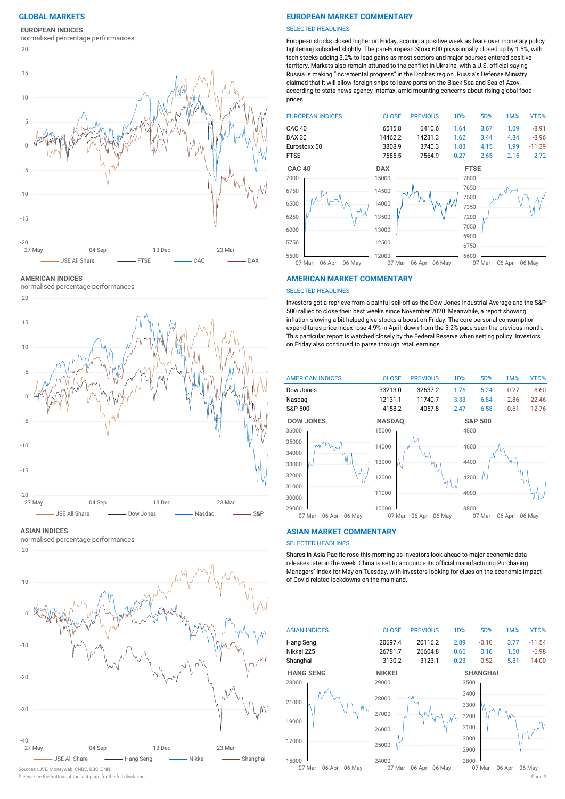### **EUROPEAN INDICES**

normalised percentage performances



**AMERICAN INDICES**

normalised percentage performances



### **ASIAN INDICES**

normalised percentage performances



### Sources : JSE, Moneyweb, CNBC, BBC, CNN

### **GLOBAL MARKETS EUROPEAN MARKET COMMENTARY**

### SELECTED HEADLINES

European stocks closed higher on Friday, scoring a positive week as fears over monetary policy tightening subsided slightly. The pan-European Stoxx 600 provisionally closed up by 1.5%, with tech stocks adding 3.2% to lead gains as most sectors and major bourses entered positive territory. Markets also remain attuned to the conflict in Ukraine, with a U.S. official saying Russia is making "incremental progress" in the Donbas region. Russia's Defense Ministry claimed that it will allow foreign ships to leave ports on the Black Sea and Sea of Azov, according to state news agency Interfax, amid mounting concerns about rising global food prices.



### **AMERICAN MARKET COMMENTARY**

### SELECTED HEADLINES

Investors got a reprieve from a painful sell-off as the Dow Jones Industrial Average and the S&P 500 rallied to close their best weeks since November 2020. Meanwhile, a report showing inflation slowing a bit helped give stocks a boost on Friday. The core personal consumption expenditures price index rose 4.9% in April, down from the 5.2% pace seen the previous month. This particular report is watched closely by the Federal Reserve when setting policy. Investors on Friday also continued to parse through retail earnings.



### **ASIAN MARKET COMMENTARY**

### SELECTED HEADLINES

Shares in Asia-Pacific rose this morning as investors look ahead to major economic data releases later in the week. China is set to announce its official manufacturing Purchasing Managers' Index for May on Tuesday, with investors looking for clues on the economic impact of Covid-related lockdowns on the mainland.